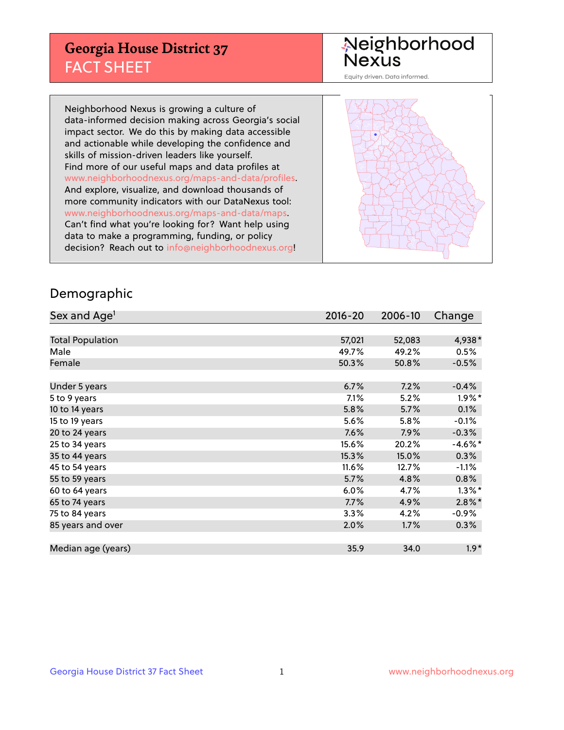## **Georgia House District 37** FACT SHEET

# Neighborhood<br>Nexus

Equity driven. Data informed.

Neighborhood Nexus is growing a culture of data-informed decision making across Georgia's social impact sector. We do this by making data accessible and actionable while developing the confidence and skills of mission-driven leaders like yourself. Find more of our useful maps and data profiles at www.neighborhoodnexus.org/maps-and-data/profiles. And explore, visualize, and download thousands of more community indicators with our DataNexus tool: www.neighborhoodnexus.org/maps-and-data/maps. Can't find what you're looking for? Want help using data to make a programming, funding, or policy decision? Reach out to [info@neighborhoodnexus.org!](mailto:info@neighborhoodnexus.org)



### Demographic

| Sex and Age <sup>1</sup> | $2016 - 20$ | 2006-10 | Change     |
|--------------------------|-------------|---------|------------|
|                          |             |         |            |
| <b>Total Population</b>  | 57,021      | 52,083  | 4,938*     |
| Male                     | 49.7%       | 49.2%   | 0.5%       |
| Female                   | 50.3%       | 50.8%   | $-0.5%$    |
|                          |             |         |            |
| Under 5 years            | 6.7%        | 7.2%    | $-0.4%$    |
| 5 to 9 years             | 7.1%        | 5.2%    | $1.9\%$ *  |
| 10 to 14 years           | 5.8%        | 5.7%    | 0.1%       |
| 15 to 19 years           | 5.6%        | 5.8%    | $-0.1%$    |
| 20 to 24 years           | 7.6%        | 7.9%    | $-0.3%$    |
| 25 to 34 years           | 15.6%       | 20.2%   | $-4.6\%$ * |
| 35 to 44 years           | 15.3%       | 15.0%   | 0.3%       |
| 45 to 54 years           | 11.6%       | 12.7%   | $-1.1\%$   |
| 55 to 59 years           | 5.7%        | 4.8%    | 0.8%       |
| 60 to 64 years           | 6.0%        | 4.7%    | $1.3\%$ *  |
| 65 to 74 years           | 7.7%        | 4.9%    | $2.8\%$ *  |
| 75 to 84 years           | 3.3%        | 4.2%    | $-0.9%$    |
| 85 years and over        | 2.0%        | 1.7%    | 0.3%       |
|                          |             |         |            |
| Median age (years)       | 35.9        | 34.0    | $1.9*$     |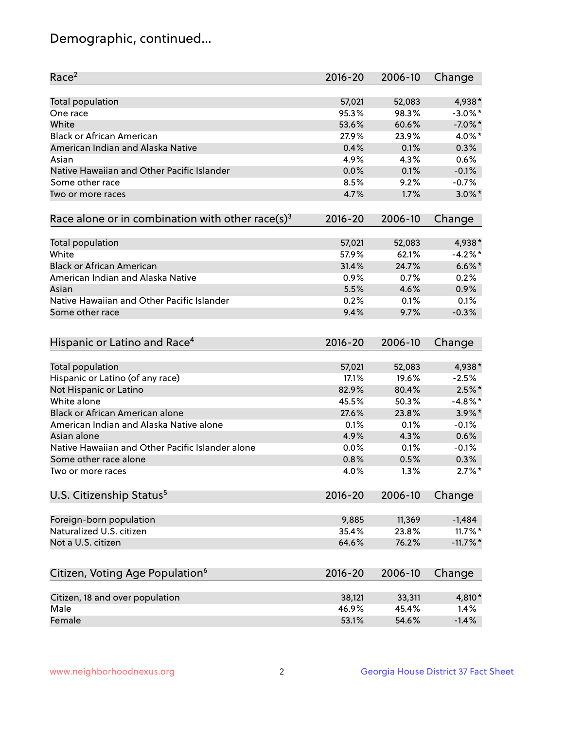## Demographic, continued...

| Race <sup>2</sup>                                            | $2016 - 20$ | 2006-10 | Change      |
|--------------------------------------------------------------|-------------|---------|-------------|
| <b>Total population</b>                                      | 57,021      | 52,083  | 4,938*      |
| One race                                                     | 95.3%       | 98.3%   | $-3.0\%$ *  |
| White                                                        | 53.6%       | 60.6%   | $-7.0\%$ *  |
| <b>Black or African American</b>                             | 27.9%       | 23.9%   | 4.0%*       |
| American Indian and Alaska Native                            | 0.4%        | 0.1%    | 0.3%        |
| Asian                                                        | 4.9%        | 4.3%    | 0.6%        |
| Native Hawaiian and Other Pacific Islander                   | 0.0%        | 0.1%    | $-0.1%$     |
| Some other race                                              | 8.5%        | 9.2%    | $-0.7%$     |
| Two or more races                                            | 4.7%        | 1.7%    | $3.0\%$ *   |
| Race alone or in combination with other race(s) <sup>3</sup> | $2016 - 20$ | 2006-10 | Change      |
|                                                              |             |         |             |
| Total population                                             | 57,021      | 52,083  | 4,938*      |
| White                                                        | 57.9%       | 62.1%   | $-4.2%$ *   |
| <b>Black or African American</b>                             | 31.4%       | 24.7%   | $6.6\%$ *   |
| American Indian and Alaska Native                            | 0.9%        | 0.7%    | 0.2%        |
| Asian                                                        | 5.5%        | 4.6%    | 0.9%        |
| Native Hawaiian and Other Pacific Islander                   | 0.2%        | 0.1%    | 0.1%        |
| Some other race                                              | 9.4%        | 9.7%    | $-0.3%$     |
| Hispanic or Latino and Race <sup>4</sup>                     | $2016 - 20$ | 2006-10 | Change      |
| <b>Total population</b>                                      | 57,021      | 52,083  | 4,938*      |
| Hispanic or Latino (of any race)                             | 17.1%       | 19.6%   | $-2.5%$     |
| Not Hispanic or Latino                                       | 82.9%       | 80.4%   | $2.5\%$ *   |
| White alone                                                  | 45.5%       | 50.3%   | $-4.8\%$ *  |
| <b>Black or African American alone</b>                       | 27.6%       | 23.8%   | $3.9\%$ *   |
| American Indian and Alaska Native alone                      | 0.1%        | 0.1%    | $-0.1%$     |
| Asian alone                                                  | 4.9%        | 4.3%    | 0.6%        |
| Native Hawaiian and Other Pacific Islander alone             | 0.0%        | 0.1%    | $-0.1%$     |
| Some other race alone                                        | 0.8%        | 0.5%    | 0.3%        |
| Two or more races                                            | 4.0%        | 1.3%    | $2.7\%$ *   |
| U.S. Citizenship Status <sup>5</sup>                         | $2016 - 20$ | 2006-10 |             |
|                                                              |             |         | Change      |
| Foreign-born population                                      | 9,885       | 11,369  | $-1,484$    |
| Naturalized U.S. citizen                                     | 35.4%       | 23.8%   | $11.7\%$ *  |
| Not a U.S. citizen                                           | 64.6%       | 76.2%   | $-11.7\%$ * |
| Citizen, Voting Age Population <sup>6</sup>                  | $2016 - 20$ | 2006-10 | Change      |
|                                                              |             |         |             |
| Citizen, 18 and over population<br>Male                      | 38,121      | 33,311  | 4,810*      |
|                                                              | 46.9%       | 45.4%   | 1.4%        |
| Female                                                       | 53.1%       | 54.6%   | $-1.4%$     |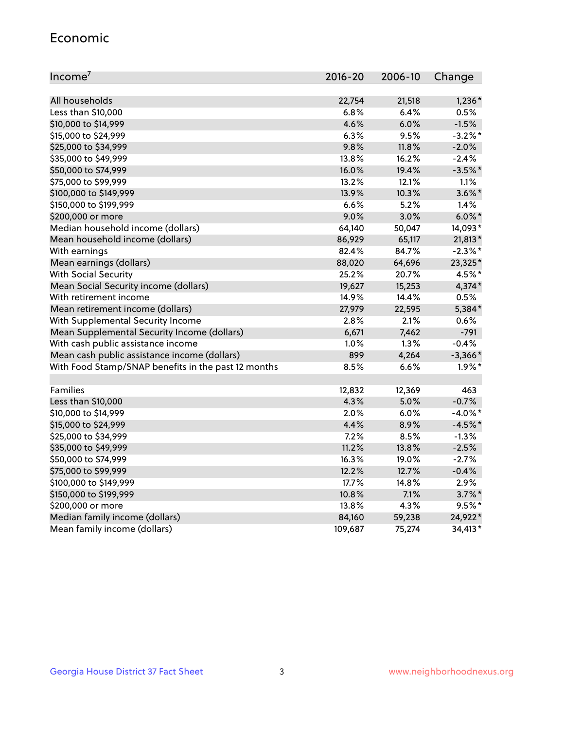#### Economic

| Income <sup>7</sup>                                 | $2016 - 20$ | 2006-10 | Change     |
|-----------------------------------------------------|-------------|---------|------------|
|                                                     |             |         |            |
| All households                                      | 22,754      | 21,518  | $1,236*$   |
| Less than \$10,000                                  | 6.8%        | 6.4%    | 0.5%       |
| \$10,000 to \$14,999                                | 4.6%        | 6.0%    | $-1.5%$    |
| \$15,000 to \$24,999                                | 6.3%        | 9.5%    | $-3.2\%$ * |
| \$25,000 to \$34,999                                | 9.8%        | 11.8%   | $-2.0%$    |
| \$35,000 to \$49,999                                | 13.8%       | 16.2%   | $-2.4%$    |
| \$50,000 to \$74,999                                | 16.0%       | 19.4%   | $-3.5%$ *  |
| \$75,000 to \$99,999                                | 13.2%       | 12.1%   | 1.1%       |
| \$100,000 to \$149,999                              | 13.9%       | 10.3%   | $3.6\%$ *  |
| \$150,000 to \$199,999                              | 6.6%        | 5.2%    | 1.4%       |
| \$200,000 or more                                   | 9.0%        | 3.0%    | $6.0\%$ *  |
| Median household income (dollars)                   | 64,140      | 50,047  | 14,093*    |
| Mean household income (dollars)                     | 86,929      | 65,117  | 21,813*    |
| With earnings                                       | 82.4%       | 84.7%   | $-2.3\%$ * |
| Mean earnings (dollars)                             | 88,020      | 64,696  | 23,325*    |
| <b>With Social Security</b>                         | 25.2%       | 20.7%   | 4.5%*      |
| Mean Social Security income (dollars)               | 19,627      | 15,253  | 4,374*     |
| With retirement income                              | 14.9%       | 14.4%   | 0.5%       |
| Mean retirement income (dollars)                    | 27,979      | 22,595  | 5,384*     |
| With Supplemental Security Income                   | 2.8%        | $2.1\%$ | 0.6%       |
| Mean Supplemental Security Income (dollars)         | 6,671       | 7,462   | $-791$     |
| With cash public assistance income                  | 1.0%        | 1.3%    | $-0.4%$    |
| Mean cash public assistance income (dollars)        | 899         | 4,264   | $-3,366*$  |
| With Food Stamp/SNAP benefits in the past 12 months | 8.5%        | 6.6%    | $1.9\%$ *  |
|                                                     |             |         |            |
| Families                                            | 12,832      | 12,369  | 463        |
| Less than \$10,000                                  | 4.3%        | 5.0%    | $-0.7%$    |
| \$10,000 to \$14,999                                | 2.0%        | 6.0%    | $-4.0\%$ * |
| \$15,000 to \$24,999                                | 4.4%        | 8.9%    | $-4.5%$ *  |
| \$25,000 to \$34,999                                | 7.2%        | 8.5%    | $-1.3%$    |
| \$35,000 to \$49,999                                | 11.2%       | 13.8%   | $-2.5%$    |
| \$50,000 to \$74,999                                | 16.3%       | 19.0%   | $-2.7%$    |
| \$75,000 to \$99,999                                | 12.2%       | 12.7%   | $-0.4%$    |
| \$100,000 to \$149,999                              | $17.7\%$    | 14.8%   | 2.9%       |
| \$150,000 to \$199,999                              | 10.8%       | 7.1%    | $3.7\%$ *  |
| \$200,000 or more                                   | 13.8%       | 4.3%    | $9.5%$ *   |
| Median family income (dollars)                      | 84,160      | 59,238  | 24,922*    |
| Mean family income (dollars)                        | 109,687     | 75,274  | 34,413*    |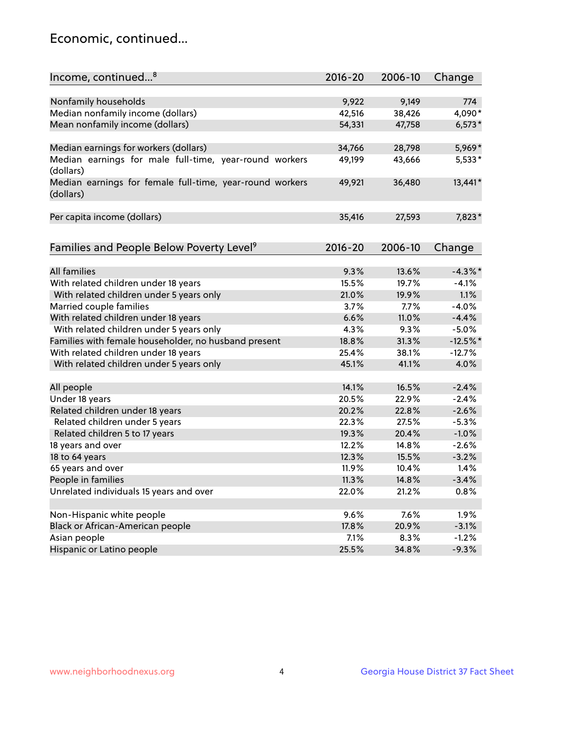## Economic, continued...

| Income, continued <sup>8</sup><br>$2016 - 20$<br>2006-10<br>Change<br>Nonfamily households<br>9,922<br>9,149<br>774<br>Median nonfamily income (dollars)<br>4,090*<br>42,516<br>38,426<br>Mean nonfamily income (dollars)<br>54,331<br>47,758<br>$6,573*$<br>5,969*<br>Median earnings for workers (dollars)<br>34,766<br>28,798<br>Median earnings for male full-time, year-round workers<br>43,666<br>49,199<br>5,533*<br>(dollars)<br>Median earnings for female full-time, year-round workers<br>13,441*<br>49,921<br>36,480 |
|----------------------------------------------------------------------------------------------------------------------------------------------------------------------------------------------------------------------------------------------------------------------------------------------------------------------------------------------------------------------------------------------------------------------------------------------------------------------------------------------------------------------------------|
|                                                                                                                                                                                                                                                                                                                                                                                                                                                                                                                                  |
|                                                                                                                                                                                                                                                                                                                                                                                                                                                                                                                                  |
|                                                                                                                                                                                                                                                                                                                                                                                                                                                                                                                                  |
|                                                                                                                                                                                                                                                                                                                                                                                                                                                                                                                                  |
|                                                                                                                                                                                                                                                                                                                                                                                                                                                                                                                                  |
|                                                                                                                                                                                                                                                                                                                                                                                                                                                                                                                                  |
|                                                                                                                                                                                                                                                                                                                                                                                                                                                                                                                                  |
|                                                                                                                                                                                                                                                                                                                                                                                                                                                                                                                                  |
|                                                                                                                                                                                                                                                                                                                                                                                                                                                                                                                                  |
| (dollars)                                                                                                                                                                                                                                                                                                                                                                                                                                                                                                                        |
|                                                                                                                                                                                                                                                                                                                                                                                                                                                                                                                                  |
| Per capita income (dollars)<br>35,416<br>27,593<br>7,823*                                                                                                                                                                                                                                                                                                                                                                                                                                                                        |
|                                                                                                                                                                                                                                                                                                                                                                                                                                                                                                                                  |
| $2016 - 20$<br>2006-10                                                                                                                                                                                                                                                                                                                                                                                                                                                                                                           |
| Families and People Below Poverty Level <sup>9</sup><br>Change                                                                                                                                                                                                                                                                                                                                                                                                                                                                   |
| All families<br>$-4.3\%$ *<br>9.3%<br>13.6%                                                                                                                                                                                                                                                                                                                                                                                                                                                                                      |
| 15.5%<br>$-4.1%$<br>19.7%                                                                                                                                                                                                                                                                                                                                                                                                                                                                                                        |
| With related children under 18 years<br>With related children under 5 years only<br>1.1%<br>21.0%<br>19.9%                                                                                                                                                                                                                                                                                                                                                                                                                       |
| 3.7%<br>7.7%<br>$-4.0%$                                                                                                                                                                                                                                                                                                                                                                                                                                                                                                          |
| Married couple families<br>6.6%<br>11.0%<br>$-4.4%$                                                                                                                                                                                                                                                                                                                                                                                                                                                                              |
| With related children under 18 years<br>4.3%                                                                                                                                                                                                                                                                                                                                                                                                                                                                                     |
| With related children under 5 years only<br>$-5.0%$<br>9.3%<br>Families with female householder, no husband present<br>$-12.5%$ *<br>18.8%                                                                                                                                                                                                                                                                                                                                                                                       |
| 31.3%<br>25.4%<br>38.1%                                                                                                                                                                                                                                                                                                                                                                                                                                                                                                          |
| With related children under 18 years<br>$-12.7%$                                                                                                                                                                                                                                                                                                                                                                                                                                                                                 |
| 4.0%<br>With related children under 5 years only<br>45.1%<br>41.1%                                                                                                                                                                                                                                                                                                                                                                                                                                                               |
| 16.5%<br>All people<br>14.1%<br>$-2.4%$                                                                                                                                                                                                                                                                                                                                                                                                                                                                                          |
| Under 18 years<br>22.9%<br>$-2.4%$<br>20.5%                                                                                                                                                                                                                                                                                                                                                                                                                                                                                      |
| Related children under 18 years<br>$-2.6%$<br>20.2%<br>22.8%                                                                                                                                                                                                                                                                                                                                                                                                                                                                     |
| Related children under 5 years<br>$-5.3%$<br>22.3%<br>27.5%                                                                                                                                                                                                                                                                                                                                                                                                                                                                      |
| $-1.0%$<br>Related children 5 to 17 years<br>19.3%<br>20.4%                                                                                                                                                                                                                                                                                                                                                                                                                                                                      |
| 12.2%<br>18 years and over<br>14.8%<br>$-2.6%$                                                                                                                                                                                                                                                                                                                                                                                                                                                                                   |
| 18 to 64 years<br>12.3%<br>15.5%<br>$-3.2%$                                                                                                                                                                                                                                                                                                                                                                                                                                                                                      |
| 65 years and over<br>1.4%<br>11.9%<br>10.4%                                                                                                                                                                                                                                                                                                                                                                                                                                                                                      |
| People in families<br>11.3%<br>$-3.4%$<br>14.8%                                                                                                                                                                                                                                                                                                                                                                                                                                                                                  |
| Unrelated individuals 15 years and over<br>21.2%<br>0.8%<br>22.0%                                                                                                                                                                                                                                                                                                                                                                                                                                                                |
|                                                                                                                                                                                                                                                                                                                                                                                                                                                                                                                                  |
| Non-Hispanic white people<br>1.9%<br>9.6%<br>7.6%                                                                                                                                                                                                                                                                                                                                                                                                                                                                                |
| Black or African-American people<br>20.9%<br>17.8%<br>$-3.1%$                                                                                                                                                                                                                                                                                                                                                                                                                                                                    |
| Asian people<br>$-1.2%$<br>7.1%<br>8.3%                                                                                                                                                                                                                                                                                                                                                                                                                                                                                          |
| $-9.3%$<br>Hispanic or Latino people<br>25.5%<br>34.8%                                                                                                                                                                                                                                                                                                                                                                                                                                                                           |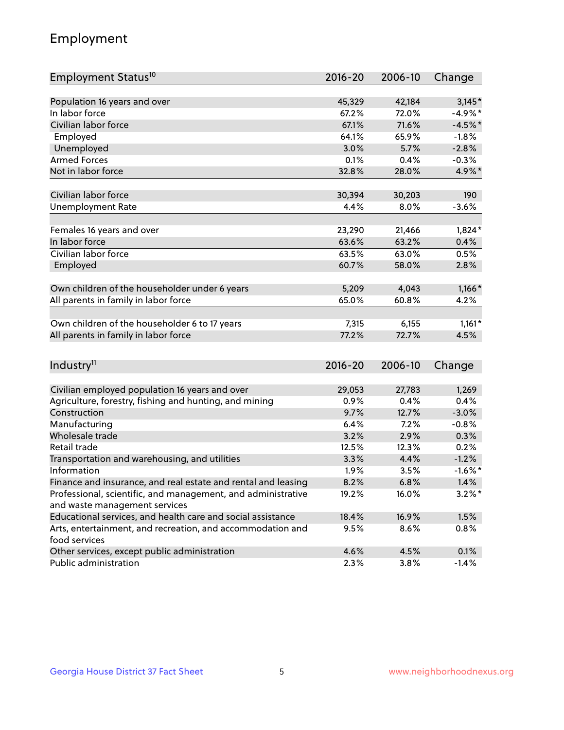## Employment

| Employment Status <sup>10</sup>                                             | $2016 - 20$ | 2006-10 | Change     |
|-----------------------------------------------------------------------------|-------------|---------|------------|
|                                                                             |             |         |            |
| Population 16 years and over                                                | 45,329      | 42,184  | $3,145*$   |
| In labor force                                                              | 67.2%       | 72.0%   | $-4.9%$ *  |
| Civilian labor force                                                        | 67.1%       | 71.6%   | $-4.5%$ *  |
| Employed                                                                    | 64.1%       | 65.9%   | $-1.8%$    |
| Unemployed                                                                  | 3.0%        | 5.7%    | $-2.8%$    |
| <b>Armed Forces</b>                                                         | 0.1%        | 0.4%    | $-0.3%$    |
| Not in labor force                                                          | 32.8%       | 28.0%   | 4.9%*      |
|                                                                             |             |         |            |
| Civilian labor force                                                        | 30,394      | 30,203  | 190        |
| <b>Unemployment Rate</b>                                                    | 4.4%        | 8.0%    | $-3.6%$    |
| Females 16 years and over                                                   | 23,290      | 21,466  | $1,824*$   |
| In labor force                                                              | 63.6%       | 63.2%   | 0.4%       |
| Civilian labor force                                                        | 63.5%       | 63.0%   | 0.5%       |
| Employed                                                                    | 60.7%       | 58.0%   | 2.8%       |
|                                                                             |             |         |            |
| Own children of the householder under 6 years                               | 5,209       | 4,043   | $1,166*$   |
| All parents in family in labor force                                        | 65.0%       | 60.8%   | 4.2%       |
|                                                                             |             |         |            |
| Own children of the householder 6 to 17 years                               | 7,315       | 6,155   | $1,161*$   |
| All parents in family in labor force                                        | 77.2%       | 72.7%   | 4.5%       |
|                                                                             |             |         |            |
| Industry <sup>11</sup>                                                      | $2016 - 20$ | 2006-10 | Change     |
|                                                                             |             |         |            |
| Civilian employed population 16 years and over                              | 29,053      | 27,783  | 1,269      |
| Agriculture, forestry, fishing and hunting, and mining                      | 0.9%        | 0.4%    | 0.4%       |
| Construction                                                                | 9.7%        | 12.7%   | $-3.0%$    |
| Manufacturing                                                               | 6.4%        | 7.2%    | $-0.8%$    |
| Wholesale trade                                                             | 3.2%        | 2.9%    | 0.3%       |
| Retail trade                                                                | 12.5%       | 12.3%   | 0.2%       |
| Transportation and warehousing, and utilities                               | 3.3%        | 4.4%    | $-1.2%$    |
| Information                                                                 | 1.9%        | 3.5%    | $-1.6\%$ * |
| Finance and insurance, and real estate and rental and leasing               | 8.2%        | 6.8%    | 1.4%       |
| Professional, scientific, and management, and administrative                | 19.2%       | 16.0%   | $3.2\%$ *  |
| and waste management services                                               |             |         |            |
| Educational services, and health care and social assistance                 | 18.4%       | 16.9%   | 1.5%       |
| Arts, entertainment, and recreation, and accommodation and<br>food services | 9.5%        | 8.6%    | 0.8%       |
| Other services, except public administration                                | 4.6%        | 4.5%    | 0.1%       |
| Public administration                                                       | 2.3%        | 3.8%    | $-1.4%$    |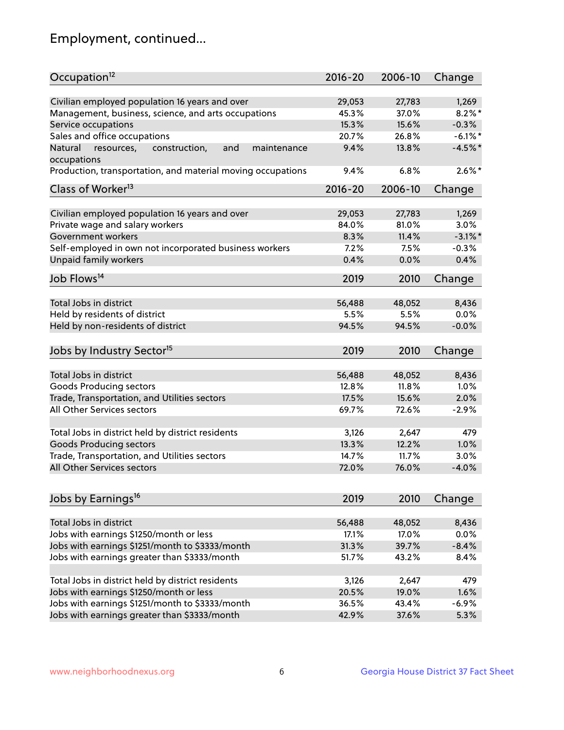## Employment, continued...

| Occupation <sup>12</sup>                                                   | $2016 - 20$     | 2006-10         | Change        |
|----------------------------------------------------------------------------|-----------------|-----------------|---------------|
| Civilian employed population 16 years and over                             | 29,053          | 27,783          | 1,269         |
| Management, business, science, and arts occupations                        | 45.3%           | 37.0%           | $8.2\%$ *     |
| Service occupations                                                        | 15.3%           | 15.6%           | $-0.3%$       |
| Sales and office occupations                                               | 20.7%           | 26.8%           | $-6.1\%$ *    |
| and<br>Natural<br>maintenance                                              | 9.4%            | 13.8%           | $-4.5%$ *     |
| resources,<br>construction,<br>occupations                                 |                 |                 |               |
| Production, transportation, and material moving occupations                | 9.4%            | 6.8%            | $2.6\%$ *     |
| Class of Worker <sup>13</sup>                                              | $2016 - 20$     | 2006-10         | Change        |
|                                                                            |                 |                 |               |
| Civilian employed population 16 years and over                             | 29,053          | 27,783          | 1,269         |
| Private wage and salary workers                                            | 84.0%           | 81.0%           | 3.0%          |
| Government workers                                                         | 8.3%            | 11.4%           | $-3.1\%$ *    |
| Self-employed in own not incorporated business workers                     | 7.2%            | 7.5%            | $-0.3%$       |
| Unpaid family workers                                                      | 0.4%            | 0.0%            | 0.4%          |
| Job Flows <sup>14</sup>                                                    | 2019            | 2010            | Change        |
|                                                                            |                 |                 |               |
| Total Jobs in district                                                     | 56,488          | 48,052          | 8,436         |
| Held by residents of district                                              | 5.5%            | 5.5%            | 0.0%          |
| Held by non-residents of district                                          | 94.5%           | 94.5%           | $-0.0%$       |
| Jobs by Industry Sector <sup>15</sup>                                      | 2019            | 2010            | Change        |
| Total Jobs in district                                                     | 56,488          | 48,052          | 8,436         |
| Goods Producing sectors                                                    | 12.8%           | 11.8%           | 1.0%          |
|                                                                            | 17.5%           | 15.6%           | 2.0%          |
| Trade, Transportation, and Utilities sectors<br>All Other Services sectors | 69.7%           | 72.6%           | $-2.9%$       |
|                                                                            |                 |                 |               |
| Total Jobs in district held by district residents                          | 3,126           | 2,647           | 479           |
| <b>Goods Producing sectors</b>                                             | 13.3%           | 12.2%           | 1.0%          |
| Trade, Transportation, and Utilities sectors                               | 14.7%           | 11.7%           | 3.0%          |
| All Other Services sectors                                                 | 72.0%           | 76.0%           | $-4.0%$       |
|                                                                            |                 |                 |               |
| Jobs by Earnings <sup>16</sup>                                             | 2019            | 2010            | Change        |
| Total Jobs in district                                                     |                 |                 |               |
|                                                                            | 56,488<br>17.1% | 48,052<br>17.0% | 8,436<br>0.0% |
| Jobs with earnings \$1250/month or less                                    |                 |                 |               |
| Jobs with earnings \$1251/month to \$3333/month                            | 31.3%           | 39.7%           | $-8.4%$       |
| Jobs with earnings greater than \$3333/month                               | 51.7%           | 43.2%           | 8.4%          |
| Total Jobs in district held by district residents                          | 3,126           | 2,647           | 479           |
| Jobs with earnings \$1250/month or less                                    | 20.5%           | 19.0%           | 1.6%          |
| Jobs with earnings \$1251/month to \$3333/month                            | 36.5%           | 43.4%           | $-6.9%$       |
| Jobs with earnings greater than \$3333/month                               | 42.9%           | 37.6%           | 5.3%          |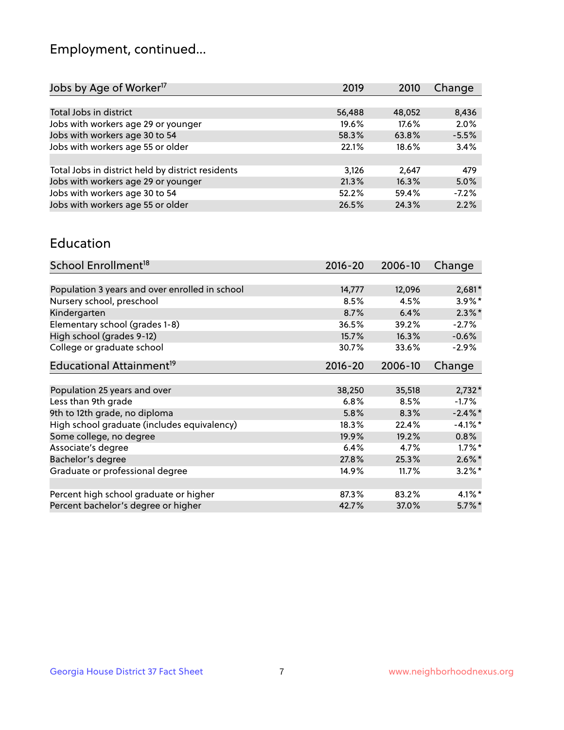## Employment, continued...

| Jobs by Age of Worker <sup>17</sup>               | 2019   | 2010   | Change  |
|---------------------------------------------------|--------|--------|---------|
|                                                   |        |        |         |
| Total Jobs in district                            | 56,488 | 48,052 | 8,436   |
| Jobs with workers age 29 or younger               | 19.6%  | 17.6%  | 2.0%    |
| Jobs with workers age 30 to 54                    | 58.3%  | 63.8%  | $-5.5%$ |
| Jobs with workers age 55 or older                 | 22.1%  | 18.6%  | 3.4%    |
|                                                   |        |        |         |
| Total Jobs in district held by district residents | 3,126  | 2,647  | 479     |
| Jobs with workers age 29 or younger               | 21.3%  | 16.3%  | 5.0%    |
| Jobs with workers age 30 to 54                    | 52.2%  | 59.4%  | $-7.2%$ |
| Jobs with workers age 55 or older                 | 26.5%  | 24.3%  | 2.2%    |

#### Education

| School Enrollment <sup>18</sup>                | $2016 - 20$ | 2006-10 | Change     |
|------------------------------------------------|-------------|---------|------------|
|                                                |             |         |            |
| Population 3 years and over enrolled in school | 14,777      | 12,096  | $2,681*$   |
| Nursery school, preschool                      | 8.5%        | 4.5%    | $3.9\%$ *  |
| Kindergarten                                   | 8.7%        | 6.4%    | $2.3\%$ *  |
| Elementary school (grades 1-8)                 | 36.5%       | 39.2%   | $-2.7%$    |
| High school (grades 9-12)                      | 15.7%       | 16.3%   | $-0.6%$    |
| College or graduate school                     | 30.7%       | 33.6%   | $-2.9%$    |
| Educational Attainment <sup>19</sup>           | $2016 - 20$ | 2006-10 | Change     |
|                                                |             |         |            |
| Population 25 years and over                   | 38,250      | 35,518  | $2,732*$   |
| Less than 9th grade                            | 6.8%        | 8.5%    | $-1.7\%$   |
| 9th to 12th grade, no diploma                  | 5.8%        | 8.3%    | $-2.4\%$ * |
| High school graduate (includes equivalency)    | 18.3%       | 22.4%   | $-4.1\%$ * |
| Some college, no degree                        | 19.9%       | 19.2%   | 0.8%       |
| Associate's degree                             | 6.4%        | 4.7%    | $1.7\%$ *  |
| Bachelor's degree                              | 27.8%       | 25.3%   | $2.6\%$ *  |
| Graduate or professional degree                | 14.9%       | 11.7%   | $3.2\%$ *  |
|                                                |             |         |            |
| Percent high school graduate or higher         | 87.3%       | 83.2%   | $4.1\%$ *  |
| Percent bachelor's degree or higher            | 42.7%       | 37.0%   | $5.7\%$ *  |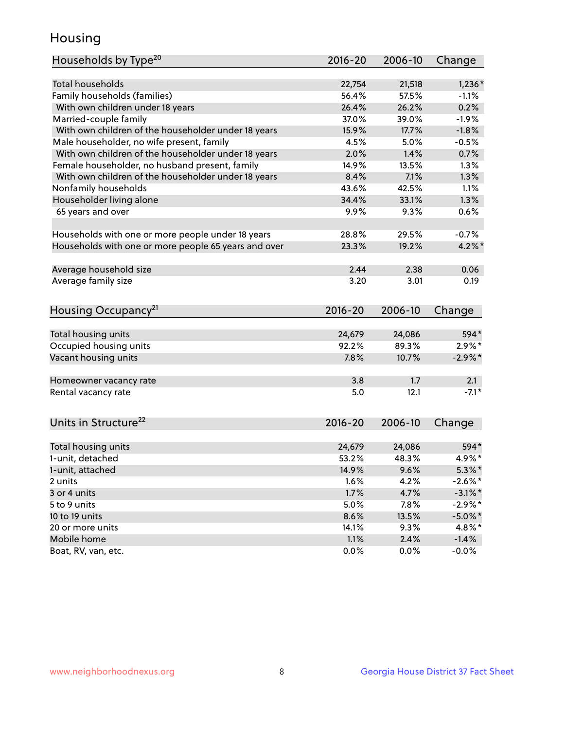## Housing

| Households by Type <sup>20</sup>                     | $2016 - 20$ | 2006-10 | Change     |
|------------------------------------------------------|-------------|---------|------------|
|                                                      |             |         |            |
| <b>Total households</b>                              | 22,754      | 21,518  | $1,236*$   |
| Family households (families)                         | 56.4%       | 57.5%   | $-1.1%$    |
| With own children under 18 years                     | 26.4%       | 26.2%   | 0.2%       |
| Married-couple family                                | 37.0%       | 39.0%   | $-1.9%$    |
| With own children of the householder under 18 years  | 15.9%       | 17.7%   | $-1.8%$    |
| Male householder, no wife present, family            | 4.5%        | 5.0%    | $-0.5%$    |
| With own children of the householder under 18 years  | 2.0%        | 1.4%    | 0.7%       |
| Female householder, no husband present, family       | 14.9%       | 13.5%   | 1.3%       |
| With own children of the householder under 18 years  | 8.4%        | 7.1%    | 1.3%       |
| Nonfamily households                                 | 43.6%       | 42.5%   | 1.1%       |
| Householder living alone                             | 34.4%       | 33.1%   | 1.3%       |
| 65 years and over                                    | 9.9%        | 9.3%    | 0.6%       |
|                                                      |             |         |            |
| Households with one or more people under 18 years    | 28.8%       | 29.5%   | $-0.7%$    |
| Households with one or more people 65 years and over | 23.3%       | 19.2%   | $4.2\%$ *  |
|                                                      |             |         |            |
| Average household size                               | 2.44        | 2.38    | 0.06       |
| Average family size                                  | 3.20        | 3.01    | 0.19       |
|                                                      |             |         |            |
| Housing Occupancy <sup>21</sup>                      | $2016 - 20$ | 2006-10 | Change     |
|                                                      |             |         |            |
| Total housing units                                  | 24,679      | 24,086  | 594*       |
| Occupied housing units                               | 92.2%       | 89.3%   | $2.9\%$ *  |
| Vacant housing units                                 | 7.8%        | 10.7%   | $-2.9\%$ * |
|                                                      |             |         |            |
| Homeowner vacancy rate                               | 3.8         | 1.7     | 2.1        |
| Rental vacancy rate                                  | 5.0         | 12.1    | $-7.1*$    |
|                                                      |             |         |            |
| Units in Structure <sup>22</sup>                     | $2016 - 20$ | 2006-10 |            |
|                                                      |             |         | Change     |
| Total housing units                                  | 24,679      | 24,086  | 594*       |
| 1-unit, detached                                     | 53.2%       | 48.3%   | 4.9%*      |
| 1-unit, attached                                     | 14.9%       | 9.6%    | $5.3\%$ *  |
| 2 units                                              | 1.6%        | 4.2%    | $-2.6\%$ * |
| 3 or 4 units                                         | 1.7%        | 4.7%    | $-3.1\%$ * |
| 5 to 9 units                                         | 5.0%        | 7.8%    | $-2.9\%*$  |
| 10 to 19 units                                       | 8.6%        | 13.5%   | $-5.0\%$ * |
| 20 or more units                                     | 14.1%       | 9.3%    | 4.8%*      |
| Mobile home                                          | 1.1%        | 2.4%    | $-1.4%$    |
| Boat, RV, van, etc.                                  | 0.0%        | 0.0%    | $-0.0%$    |
|                                                      |             |         |            |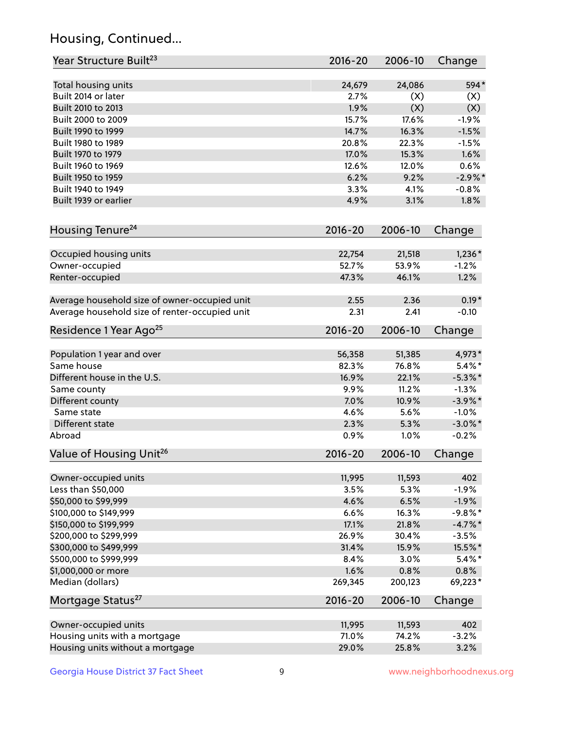## Housing, Continued...

| Year Structure Built <sup>23</sup>             | 2016-20        | 2006-10        | Change                |
|------------------------------------------------|----------------|----------------|-----------------------|
| Total housing units                            | 24,679         | 24,086         | 594*                  |
| Built 2014 or later                            | 2.7%           | (X)            | (X)                   |
| Built 2010 to 2013                             | 1.9%           | (X)            | (X)                   |
| Built 2000 to 2009                             | 15.7%          | 17.6%          | $-1.9%$               |
| Built 1990 to 1999                             | 14.7%          | 16.3%          | $-1.5%$               |
| Built 1980 to 1989                             | 20.8%          | 22.3%          | $-1.5%$               |
| Built 1970 to 1979                             | 17.0%          | 15.3%          | 1.6%                  |
| Built 1960 to 1969                             | 12.6%          | 12.0%          | 0.6%                  |
| Built 1950 to 1959                             | 6.2%           | 9.2%           | $-2.9\%$ *            |
| Built 1940 to 1949                             | 3.3%           | 4.1%           | $-0.8%$               |
| Built 1939 or earlier                          | 4.9%           | 3.1%           | 1.8%                  |
| Housing Tenure <sup>24</sup>                   | 2016-20        | 2006-10        | Change                |
|                                                |                |                |                       |
| Occupied housing units                         | 22,754         | 21,518         | $1,236*$              |
| Owner-occupied                                 | 52.7%          | 53.9%          | $-1.2%$               |
| Renter-occupied                                | 47.3%          | 46.1%          | 1.2%                  |
| Average household size of owner-occupied unit  | 2.55           | 2.36           | $0.19*$               |
| Average household size of renter-occupied unit | 2.31           | 2.41           | $-0.10$               |
| Residence 1 Year Ago <sup>25</sup>             | 2016-20        | 2006-10        | Change                |
| Population 1 year and over                     | 56,358         | 51,385         | 4,973*                |
| Same house                                     | 82.3%          | 76.8%          | $5.4\%$ *             |
| Different house in the U.S.                    | 16.9%          | 22.1%          | $-5.3\%$ *            |
| Same county                                    | 9.9%           | 11.2%          | $-1.3%$               |
| Different county                               | 7.0%           | 10.9%          | $-3.9\%$ *            |
| Same state                                     | 4.6%           | 5.6%           | $-1.0%$               |
| Different state                                | 2.3%           | 5.3%           | $-3.0\%$ *            |
| Abroad                                         | 0.9%           | 1.0%           | $-0.2%$               |
| Value of Housing Unit <sup>26</sup>            | $2016 - 20$    | 2006-10        | Change                |
|                                                |                |                |                       |
| Owner-occupied units<br>Less than \$50,000     | 11,995<br>3.5% | 11,593<br>5.3% | 402<br>$-1.9%$        |
| \$50,000 to \$99,999                           | 4.6%           | 6.5%           |                       |
| \$100,000 to \$149,999                         | 6.6%           | 16.3%          | $-1.9%$<br>$-9.8\%$ * |
| \$150,000 to \$199,999                         | 17.1%          | 21.8%          | $-4.7\%$ *            |
| \$200,000 to \$299,999                         | 26.9%          | 30.4%          | $-3.5%$               |
| \$300,000 to \$499,999                         | 31.4%          | 15.9%          | 15.5%*                |
| \$500,000 to \$999,999                         | 8.4%           | 3.0%           | $5.4\%$ *             |
| \$1,000,000 or more                            | 1.6%           | 0.8%           | 0.8%                  |
| Median (dollars)                               | 269,345        | 200,123        | 69,223*               |
| Mortgage Status <sup>27</sup>                  | $2016 - 20$    | 2006-10        | Change                |
|                                                |                |                |                       |
| Owner-occupied units                           | 11,995         | 11,593         | 402                   |
| Housing units with a mortgage                  | 71.0%          | 74.2%          | $-3.2%$               |
| Housing units without a mortgage               | 29.0%          | 25.8%          | 3.2%                  |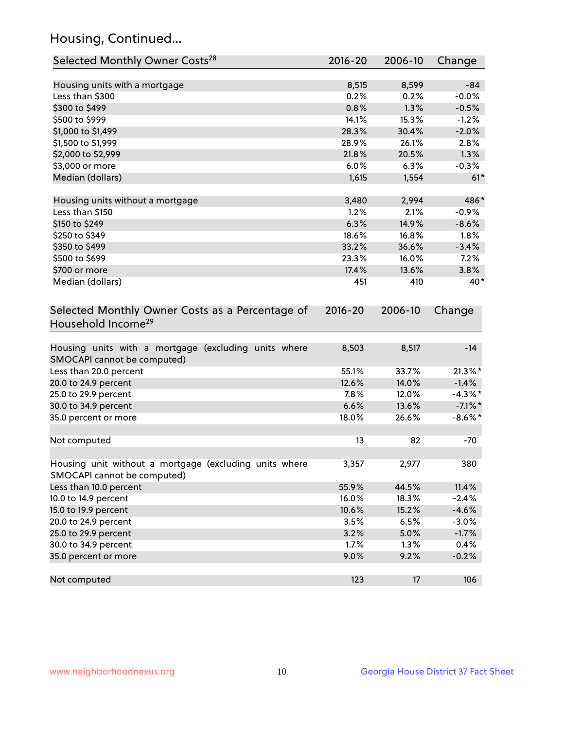## Housing, Continued...

| Selected Monthly Owner Costs <sup>28</sup>                                            | 2016-20     | 2006-10 | Change     |
|---------------------------------------------------------------------------------------|-------------|---------|------------|
| Housing units with a mortgage                                                         | 8,515       | 8,599   | $-84$      |
| Less than \$300                                                                       | 0.2%        | 0.2%    | $-0.0%$    |
| \$300 to \$499                                                                        | 0.8%        | 1.3%    | $-0.5%$    |
| \$500 to \$999                                                                        | 14.1%       | 15.3%   | $-1.2%$    |
| \$1,000 to \$1,499                                                                    | 28.3%       | 30.4%   | $-2.0%$    |
| \$1,500 to \$1,999                                                                    | 28.9%       | 26.1%   | 2.8%       |
| \$2,000 to \$2,999                                                                    | 21.8%       | 20.5%   | 1.3%       |
| \$3,000 or more                                                                       | 6.0%        | 6.3%    | $-0.3%$    |
| Median (dollars)                                                                      | 1,615       | 1,554   | $61*$      |
| Housing units without a mortgage                                                      | 3,480       | 2,994   | 486*       |
| Less than \$150                                                                       | 1.2%        | 2.1%    | $-0.9%$    |
| \$150 to \$249                                                                        | 6.3%        | 14.9%   | $-8.6%$    |
| \$250 to \$349                                                                        | 18.6%       | 16.8%   | 1.8%       |
| \$350 to \$499                                                                        | 33.2%       | 36.6%   | $-3.4%$    |
| \$500 to \$699                                                                        | 23.3%       | 16.0%   | 7.2%       |
| \$700 or more                                                                         | 17.4%       | 13.6%   | 3.8%       |
| Median (dollars)                                                                      | 451         | 410     | 40*        |
| Selected Monthly Owner Costs as a Percentage of<br>Household Income <sup>29</sup>     | $2016 - 20$ | 2006-10 | Change     |
| Housing units with a mortgage (excluding units where<br>SMOCAPI cannot be computed)   | 8,503       | 8,517   | $-14$      |
| Less than 20.0 percent                                                                | 55.1%       | 33.7%   | $21.3\%$ * |
| 20.0 to 24.9 percent                                                                  | 12.6%       | 14.0%   | $-1.4%$    |
| 25.0 to 29.9 percent                                                                  | 7.8%        | 12.0%   | $-4.3\%$ * |
| 30.0 to 34.9 percent                                                                  | 6.6%        | 13.6%   | $-7.1\%$ * |
| 35.0 percent or more                                                                  | 18.0%       | 26.6%   | $-8.6\%$ * |
| Not computed                                                                          | 13          | 82      | $-70$      |
| Housing unit without a mortgage (excluding units where<br>SMOCAPI cannot be computed) | 3,357       | 2,977   | 380        |
| Less than 10.0 percent                                                                | 55.9%       | 44.5%   | 11.4%      |
| 10.0 to 14.9 percent                                                                  | 16.0%       | 18.3%   | $-2.4%$    |
| 15.0 to 19.9 percent                                                                  | 10.6%       | 15.2%   | $-4.6%$    |
| 20.0 to 24.9 percent                                                                  | 3.5%        | 6.5%    | $-3.0%$    |
| 25.0 to 29.9 percent                                                                  | 3.2%        | 5.0%    | $-1.7%$    |
| 30.0 to 34.9 percent                                                                  | 1.7%        | 1.3%    | 0.4%       |
| 35.0 percent or more                                                                  | 9.0%        | 9.2%    | $-0.2%$    |
| Not computed                                                                          | 123         | 17      | 106        |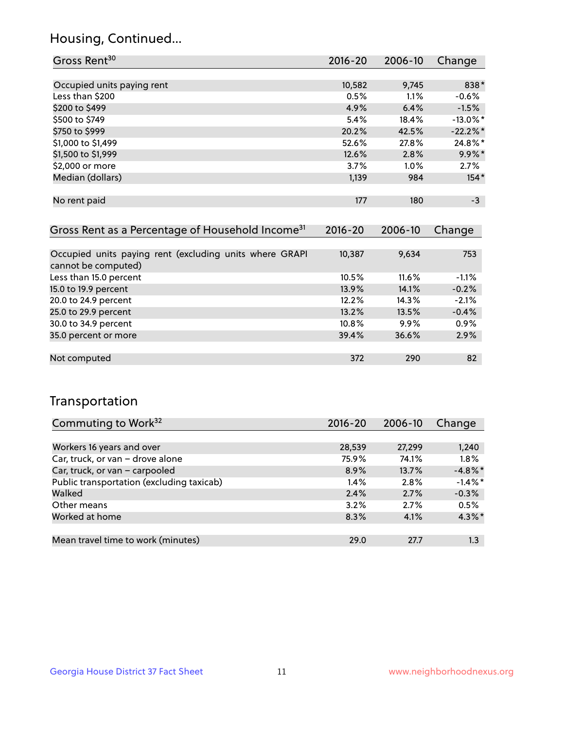## Housing, Continued...

| Gross Rent <sup>30</sup>   | 2016-20 | 2006-10 | Change      |
|----------------------------|---------|---------|-------------|
|                            |         |         |             |
| Occupied units paying rent | 10,582  | 9,745   | 838*        |
| Less than \$200            | 0.5%    | 1.1%    | $-0.6%$     |
| \$200 to \$499             | 4.9%    | 6.4%    | $-1.5%$     |
| \$500 to \$749             | 5.4%    | 18.4%   | $-13.0\%$ * |
| \$750 to \$999             | 20.2%   | 42.5%   | $-22.2%$ *  |
| \$1,000 to \$1,499         | 52.6%   | 27.8%   | 24.8%*      |
| \$1,500 to \$1,999         | 12.6%   | 2.8%    | $9.9\%$ *   |
| \$2,000 or more            | 3.7%    | 1.0%    | 2.7%        |
| Median (dollars)           | 1,139   | 984     | $154*$      |
|                            |         |         |             |
| No rent paid               | 177     | 180     | $-3$        |

| Gross Rent as a Percentage of Household Income <sup>31</sup>                   | $2016 - 20$ | 2006-10 | Change  |
|--------------------------------------------------------------------------------|-------------|---------|---------|
|                                                                                |             |         |         |
| Occupied units paying rent (excluding units where GRAPI<br>cannot be computed) | 10,387      | 9,634   | 753     |
| Less than 15.0 percent                                                         | 10.5%       | 11.6%   | $-1.1%$ |
| 15.0 to 19.9 percent                                                           | 13.9%       | 14.1%   | $-0.2%$ |
| 20.0 to 24.9 percent                                                           | 12.2%       | 14.3%   | $-2.1%$ |
| 25.0 to 29.9 percent                                                           | 13.2%       | 13.5%   | $-0.4%$ |
| 30.0 to 34.9 percent                                                           | $10.8\%$    | $9.9\%$ | 0.9%    |
| 35.0 percent or more                                                           | 39.4%       | 36.6%   | 2.9%    |
|                                                                                |             |         |         |
| Not computed                                                                   | 372         | 290     | 82      |

## Transportation

| Commuting to Work <sup>32</sup>           | 2016-20 | 2006-10 | Change     |
|-------------------------------------------|---------|---------|------------|
|                                           |         |         |            |
| Workers 16 years and over                 | 28,539  | 27,299  | 1,240      |
| Car, truck, or van - drove alone          | 75.9%   | 74.1%   | 1.8%       |
| Car, truck, or van - carpooled            | 8.9%    | 13.7%   | $-4.8\%$ * |
| Public transportation (excluding taxicab) | $1.4\%$ | 2.8%    | $-1.4\%$ * |
| Walked                                    | 2.4%    | 2.7%    | $-0.3%$    |
| Other means                               | 3.2%    | 2.7%    | 0.5%       |
| Worked at home                            | 8.3%    | 4.1%    | $4.3\%$ *  |
|                                           |         |         |            |
| Mean travel time to work (minutes)        | 29.0    | 27.7    | 1.3        |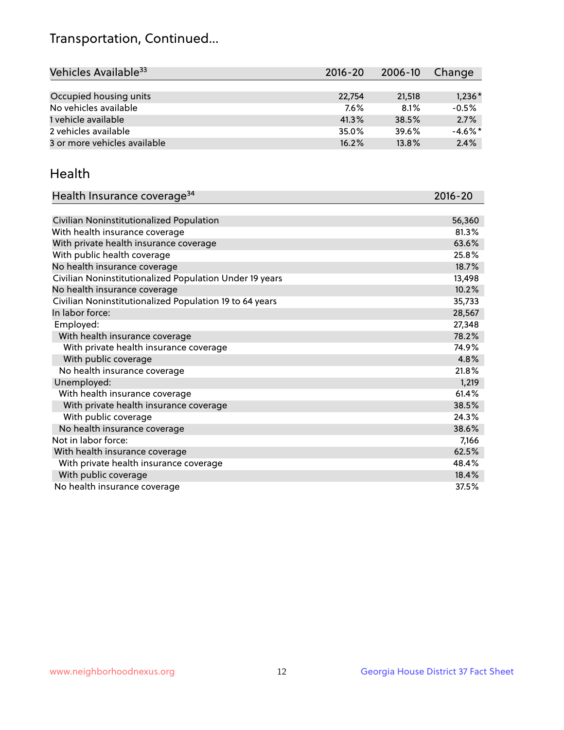## Transportation, Continued...

| Vehicles Available <sup>33</sup> | $2016 - 20$ | $2006 - 10$ | Change     |
|----------------------------------|-------------|-------------|------------|
|                                  |             |             |            |
| Occupied housing units           | 22,754      | 21,518      | $1,236*$   |
| No vehicles available            | 7.6%        | 8.1%        | $-0.5%$    |
| 1 vehicle available              | 41.3%       | 38.5%       | 2.7%       |
| 2 vehicles available             | 35.0%       | 39.6%       | $-4.6\%$ * |
| 3 or more vehicles available     | 16.2%       | 13.8%       | 2.4%       |

#### Health

| Health Insurance coverage <sup>34</sup>                 | 2016-20 |
|---------------------------------------------------------|---------|
|                                                         |         |
| Civilian Noninstitutionalized Population                | 56,360  |
| With health insurance coverage                          | 81.3%   |
| With private health insurance coverage                  | 63.6%   |
| With public health coverage                             | 25.8%   |
| No health insurance coverage                            | 18.7%   |
| Civilian Noninstitutionalized Population Under 19 years | 13,498  |
| No health insurance coverage                            | 10.2%   |
| Civilian Noninstitutionalized Population 19 to 64 years | 35,733  |
| In labor force:                                         | 28,567  |
| Employed:                                               | 27,348  |
| With health insurance coverage                          | 78.2%   |
| With private health insurance coverage                  | 74.9%   |
| With public coverage                                    | 4.8%    |
| No health insurance coverage                            | 21.8%   |
| Unemployed:                                             | 1,219   |
| With health insurance coverage                          | 61.4%   |
| With private health insurance coverage                  | 38.5%   |
| With public coverage                                    | 24.3%   |
| No health insurance coverage                            | 38.6%   |
| Not in labor force:                                     | 7,166   |
| With health insurance coverage                          | 62.5%   |
| With private health insurance coverage                  | 48.4%   |
| With public coverage                                    | 18.4%   |
| No health insurance coverage                            | 37.5%   |